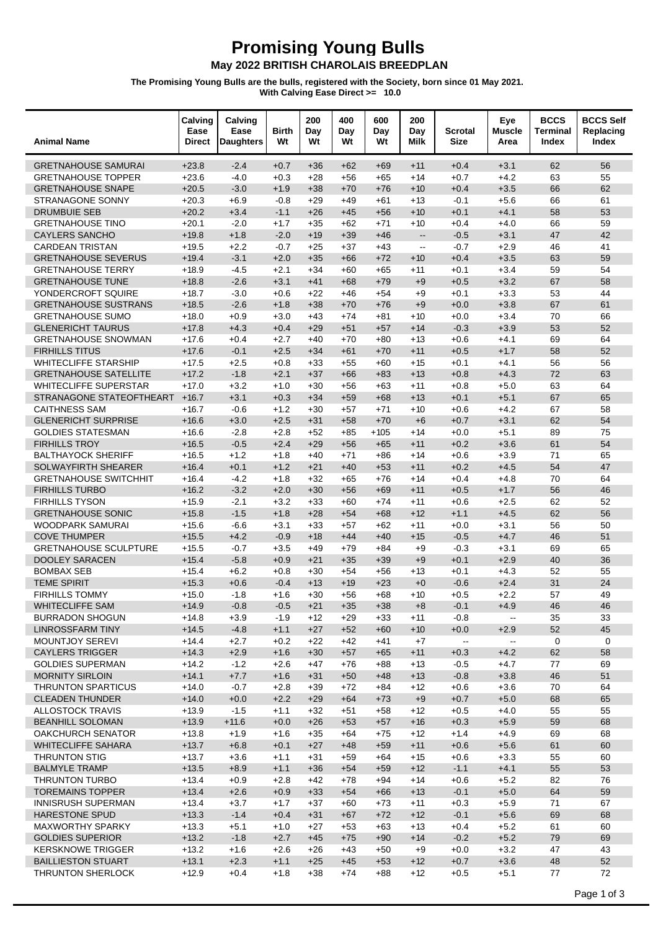## **Promising Young Bulls<br>May 2022 BRITISH CHAROLAIS BREEDPLAN**

The Promising Young Bulls are the bulls, registered with the Society, born since 01 May 2021.<br>With Calving Ease Direct >= 10.0

| <b>Animal Name</b>                                | Calving<br>Ease<br><b>Direct</b> | Calving<br>Ease<br><b>Daughters</b> | <b>Birth</b><br>Wt | 200<br>Day<br>Wt | 400<br>Day<br>Wt | 600<br>Day<br>Wt | 200<br>Day<br>Milk                            | Scrotal<br><b>Size</b>      | Eye<br><b>Muscle</b><br>Area                  | <b>BCCS</b><br>Terminal<br>Index | <b>BCCS Self</b><br>Replacing<br>Index |
|---------------------------------------------------|----------------------------------|-------------------------------------|--------------------|------------------|------------------|------------------|-----------------------------------------------|-----------------------------|-----------------------------------------------|----------------------------------|----------------------------------------|
| <b>GRETNAHOUSE SAMURAI</b>                        | $+23.8$                          | $-2.4$                              | $+0.7$             | $+36$            | $+62$            | $+69$            | $+11$                                         | $+0.4$                      | $+3.1$                                        | 62                               | 56                                     |
| <b>GRETNAHOUSE TOPPER</b>                         | $+23.6$                          | $-4.0$                              | $+0.3$             | $+28$            | $+56$            | $+65$            | $+14$                                         | $+0.7$                      | $+4.2$                                        | 63                               | 55                                     |
| <b>GRETNAHOUSE SNAPE</b>                          | $+20.5$                          | $-3.0$                              | $+1.9$             | $+38$            | $+70$            | $+76$            | $+10$                                         | $+0.4$                      | $+3.5$                                        | 66                               | 62                                     |
| STRANAGONE SONNY                                  | $+20.3$                          | $+6.9$                              | $-0.8$             | $+29$            | $+49$            | +61              | $+13$                                         | $-0.1$                      | $+5.6$                                        | 66                               | 61                                     |
| <b>DRUMBUIE SEB</b>                               | $+20.2$                          | $+3.4$                              | $-1.1$             | $+26$            | $+45$            | $+56$            | $+10$                                         | $+0.1$                      | $+4.1$                                        | 58                               | 53                                     |
| <b>GRETNAHOUSE TINO</b>                           | $+20.1$                          | $-2.0$                              | $+1.7$             | $+35$            | $+62$            | $+71$            | $+10$                                         | $+0.4$                      | $+4.0$                                        | 66                               | 59                                     |
| <b>CAYLERS SANCHO</b>                             | $+19.8$                          | $+1.8$                              | $-2.0$             | $+19$            | $+39$            | $+46$            | $\mathbb{L}^{\mathbb{L}}$                     | $-0.5$                      | $+3.1$                                        | 47                               | 42                                     |
| <b>CARDEAN TRISTAN</b>                            | $+19.5$                          | $+2.2$                              | $-0.7$             | $+25$            | $+37$            | $+43$            | $\mathord{\hspace{1pt}\text{--}\hspace{1pt}}$ | $-0.7$                      | $+2.9$                                        | 46                               | 41                                     |
| <b>GRETNAHOUSE SEVERUS</b>                        | $+19.4$                          | $-3.1$                              | $+2.0$             | $+35$            | $+66$            | $+72$            | $+10$                                         | $+0.4$                      | $+3.5$                                        | 63                               | 59                                     |
| <b>GRETNAHOUSE TERRY</b>                          | $+18.9$                          | $-4.5$                              | $+2.1$             | $+34$            | $+60$            | $+65$            | +11                                           | $+0.1$                      | $+3.4$                                        | 59                               | 54                                     |
| <b>GRETNAHOUSE TUNE</b>                           | $+18.8$                          | $-2.6$                              | $+3.1$             | $+41$            | $+68$            | $+79$            | $+9$                                          | $+0.5$                      | $+3.2$                                        | 67                               | 58                                     |
| YONDERCROFT SQUIRE<br><b>GRETNAHOUSE SUSTRANS</b> | $+18.7$<br>$+18.5$               | $-3.0$<br>$-2.6$                    | $+0.6$<br>$+1.8$   | $+22$<br>$+38$   | $+46$            | $+54$<br>$+76$   | $+9$<br>$+9$                                  | $+0.1$<br>$+0.0$            | $+3.3$<br>$+3.8$                              | 53<br>67                         | 44<br>61                               |
| <b>GRETNAHOUSE SUMO</b>                           | $+18.0$                          | $+0.9$                              | $+3.0$             | $+43$            | $+70$<br>$+74$   | $+81$            | $+10$                                         | $+0.0$                      | $+3.4$                                        | 70                               | 66                                     |
| <b>GLENERICHT TAURUS</b>                          | $+17.8$                          | $+4.3$                              | $+0.4$             | $+29$            | $+51$            | $+57$            | $+14$                                         | $-0.3$                      | $+3.9$                                        | 53                               | 52                                     |
| <b>GRETNAHOUSE SNOWMAN</b>                        | $+17.6$                          | $+0.4$                              | $+2.7$             | $+40$            | $+70$            | $+80$            | $+13$                                         | $+0.6$                      | $+4.1$                                        | 69                               | 64                                     |
| <b>FIRHILLS TITUS</b>                             | $+17.6$                          | $-0.1$                              | $+2.5$             | $+34$            | $+61$            | $+70$            | $+11$                                         | $+0.5$                      | $+1.7$                                        | 58                               | 52                                     |
| <b>WHITECLIFFE STARSHIP</b>                       | $+17.5$                          | $+2.5$                              | $+0.8$             | $+33$            | $+55$            | $+60$            | $+15$                                         | $+0.1$                      | $+4.1$                                        | 56                               | 56                                     |
| <b>GRETNAHOUSE SATELLITE</b>                      | $+17.2$                          | $-1.8$                              | $+2.1$             | $+37$            | $+66$            | $+83$            | $+13$                                         | $+0.8$                      | $+4.3$                                        | 72                               | 63                                     |
| <b>WHITECLIFFE SUPERSTAR</b>                      | $+17.0$                          | $+3.2$                              | $+1.0$             | $+30$            | $+56$            | $+63$            | $+11$                                         | $+0.8$                      | $+5.0$                                        | 63                               | 64                                     |
| STRANAGONE STATEOFTHEART                          | $+16.7$                          | $+3.1$                              | $+0.3$             | $+34$            | $+59$            | $+68$            | $+13$                                         | $+0.1$                      | $+5.1$                                        | 67                               | 65                                     |
| <b>CAITHNESS SAM</b>                              | $+16.7$                          | $-0.6$                              | $+1.2$             | $+30$            | $+57$            | $+71$            | $+10$                                         | $+0.6$                      | $+4.2$                                        | 67                               | 58                                     |
| <b>GLENERICHT SURPRISE</b>                        | $+16.6$                          | $+3.0$                              | $+2.5$             | $+31$            | $+58$            | $+70$            | $+6$                                          | $+0.7$                      | $+3.1$                                        | 62                               | 54                                     |
| <b>GOLDIES STATESMAN</b>                          | $+16.6$                          | $-2.8$                              | $+2.8$             | $+52$            | $+85$            | $+105$           | $+14$                                         | $+0.0$                      | $+5.1$                                        | 89                               | 75                                     |
| <b>FIRHILLS TROY</b>                              | $+16.5$                          | $-0.5$                              | $+2.4$             | $+29$            | $+56$            | $+65$            | $+11$                                         | $+0.2$                      | $+3.6$                                        | 61                               | 54                                     |
| <b>BALTHAYOCK SHERIFF</b>                         | $+16.5$                          | $+1.2$                              | $+1.8$             | $+40$            | $+71$            | $+86$            | $+14$                                         | $+0.6$                      | $+3.9$                                        | 71                               | 65                                     |
| SOLWAYFIRTH SHEARER                               | $+16.4$                          | $+0.1$                              | $+1.2$             | $+21$            | $+40$            | $+53$            | $+11$                                         | $+0.2$                      | $+4.5$                                        | 54                               | 47                                     |
| <b>GRETNAHOUSE SWITCHHIT</b>                      | $+16.4$                          | $-4.2$                              | $+1.8$             | $+32$            | $+65$            | $+76$            | $+14$                                         | $+0.4$                      | $+4.8$                                        | 70                               | 64                                     |
| <b>FIRHILLS TURBO</b>                             | $+16.2$                          | $-3.2$                              | $+2.0$             | $+30$            | $+56$            | $+69$            | $+11$                                         | $+0.5$                      | $+1.7$                                        | 56                               | 46                                     |
| <b>FIRHILLS TYSON</b>                             | $+15.9$                          | $-2.1$                              | $+3.2$             | $+33$            | $+60$            | $+74$            | $+11$                                         | $+0.6$                      | $+2.5$                                        | 62                               | 52                                     |
| <b>GRETNAHOUSE SONIC</b>                          | $+15.8$                          | $-1.5$                              | $+1.8$             | $+28$            | $+54$            | $+68$            | $+12$                                         | $+1.1$                      | $+4.5$                                        | 62                               | 56                                     |
| WOODPARK SAMURAI<br><b>COVE THUMPER</b>           | $+15.6$                          | $-6.6$<br>$+4.2$                    | $+3.1$             | $+33$            | $+57$            | $+62$            | $+11$                                         | $+0.0$                      | $+3.1$<br>$+4.7$                              | 56<br>46                         | 50<br>51                               |
| <b>GRETNAHOUSE SCULPTURE</b>                      | $+15.5$<br>$+15.5$               | $-0.7$                              | $-0.9$<br>$+3.5$   | $+18$<br>$+49$   | $+44$<br>$+79$   | $+40$<br>$+84$   | $+15$<br>$+9$                                 | $-0.5$<br>$-0.3$            | $+3.1$                                        | 69                               | 65                                     |
| <b>DOOLEY SARACEN</b>                             | $+15.4$                          | $-5.8$                              | $+0.9$             | $+21$            | $+35$            | $+39$            | $+9$                                          | $+0.1$                      | $+2.9$                                        | 40                               | 36                                     |
| <b>BOMBAX SEB</b>                                 | $+15.4$                          | $+6.2$                              | $+0.8$             | $+30$            | $+54$            | +56              | $+13$                                         | $+0.1$                      | $+4.3$                                        | 52                               | 55                                     |
| <b>TEME SPIRIT</b>                                | $+15.3$                          | $+0.6$                              | $-0.4$             | $+13$            | $+19$            | $+23$            | $+0$                                          | $-0.6$                      | $+2.4$                                        | 31                               | 24                                     |
| <b>FIRHILLS TOMMY</b>                             | $+15.0$                          | $-1.8$                              | $+1.6$             | $+30$            | $+56$            | $+68$            | $+10$                                         | $+0.5$                      | $+2.2$                                        | 57                               | 49                                     |
| <b>WHITECLIFFE SAM</b>                            | $+14.9$                          | $-0.8$                              | $-0.5$             | $+21$            | $+35$            | $+38$            | $+8$                                          | $-0.1$                      | $+4.9$                                        | 46                               | $46\,$                                 |
| <b>BURRADON SHOGUN</b>                            | $+14.8$                          | $+3.9$                              | $-1.9$             | $+12$            | $+29$            | $+33$            | $+11$                                         | $-0.8$                      | $\mathord{\hspace{1pt}\text{--}\hspace{1pt}}$ | 35                               | 33                                     |
| <b>LINROSSFARM TINY</b>                           | $+14.5$                          | $-4.8$                              | $+1.1$             | $+27$            | $+52$            | $+60$            | $+10$                                         | $+0.0$                      | $+2.9$                                        | 52                               | 45                                     |
| <b>MOUNTJOY SEREVI</b>                            | $+14.4$                          | $+2.7$                              | $+0.2$             | $+22$            | $+42$            | $+41$            | $+7$                                          | $\mathcal{L}_{\mathcal{P}}$ | $\sim$                                        | $\mathbf 0$                      | $\mathbf 0$                            |
| <b>CAYLERS TRIGGER</b>                            | $+14.3$                          | $+2.9$                              | $+1.6$             | $+30$            | $+57$            | $+65$            | $+11$                                         | $+0.3$                      | $+4.2$                                        | 62                               | 58                                     |
| <b>GOLDIES SUPERMAN</b>                           | $+14.2$                          | $-1.2$                              | $+2.6$             | $+47$            | $+76$            | $+88$            | $+13$                                         | $-0.5$                      | $+4.7$                                        | 77                               | 69                                     |
| <b>MORNITY SIRLOIN</b>                            | $+14.1$                          | $+7.7$                              | $+1.6$             | $+31$            | $+50$            | $+48$            | $+13$                                         | $-0.8$                      | $+3.8$                                        | 46                               | 51                                     |
| <b>THRUNTON SPARTICUS</b>                         | $+14.0$                          | $-0.7$                              | $+2.8$             | $+39$            | $+72$            | +84              | $+12$                                         | $+0.6$                      | $+3.6$                                        | 70                               | 64                                     |
| <b>CLEADEN THUNDER</b>                            | $+14.0$                          | $+0.0$                              | $+2.2$             | $+29$            | $+64$            | $+73$            | $+9$                                          | $+0.7$                      | $+5.0$                                        | 68                               | 65                                     |
| <b>ALLOSTOCK TRAVIS</b>                           | $+13.9$                          | $-1.5$                              | $+1.1$             | $+32$            | $+51$            | +58              | $+12$                                         | $+0.5$                      | $+4.0$                                        | 55                               | 55                                     |
| <b>BEANHILL SOLOMAN</b>                           | $+13.9$                          | $+11.6$                             | $+0.0$             | $+26$            | $+53$            | $+57$            | $+16$                                         | $+0.3$                      | $+5.9$                                        | 59                               | 68                                     |
| <b>OAKCHURCH SENATOR</b>                          | $+13.8$                          | $+1.9$                              | $+1.6$             | $+35$            | $+64$            | $+75$            | $+12$                                         | $+1.4$                      | $+4.9$                                        | 69                               | 68                                     |
| <b>WHITECLIFFE SAHARA</b><br>THRUNTON STIG        | $+13.7$<br>$+13.7$               | $+6.8$                              | $+0.1$<br>$+1.1$   | $+27$            | $+48$            | $+59$            | $+11$                                         | $+0.6$<br>$+0.6$            | $+5.6$<br>$+3.3$                              | 61<br>55                         | 60<br>60                               |
| <b>BALMYLE TRAMP</b>                              | $+13.5$                          | $+3.6$<br>$+8.9$                    | $+1.1$             | $+31$<br>$+36$   | $+59$<br>$+54$   | +64<br>$+59$     | $+15$<br>$+12$                                | $-1.1$                      | $+4.1$                                        | 55                               | 53                                     |
| <b>THRUNTON TURBO</b>                             | $+13.4$                          | $+0.9$                              | $+2.8$             | $+42$            | $+78$            | +94              | $+14$                                         | $+0.6$                      | $+5.2$                                        | 82                               | 76                                     |
| <b>TOREMAINS TOPPER</b>                           | $+13.4$                          | $+2.6$                              | $+0.9$             | $+33$            | $+54$            | $+66$            | $+13$                                         | $-0.1$                      | $+5.0$                                        | 64                               | 59                                     |
| <b>INNISRUSH SUPERMAN</b>                         | $+13.4$                          | $+3.7$                              | $+1.7$             | $+37$            | $+60$            | $+73$            | $+11$                                         | $+0.3$                      | $+5.9$                                        | 71                               | 67                                     |
| <b>HARESTONE SPUD</b>                             | $+13.3$                          | $-1.4$                              | $+0.4$             | $+31$            | $+67$            | $+72$            | $+12$                                         | $-0.1$                      | $+5.6$                                        | 69                               | 68                                     |
| <b>MAXWORTHY SPARKY</b>                           | $+13.3$                          | $+5.1$                              | $+1.0$             | $+27$            | $+53$            | $+63$            | $+13$                                         | $+0.4$                      | $+5.2$                                        | 61                               | 60                                     |
| <b>GOLDIES SUPERIOR</b>                           | $+13.2$                          | $-1.8$                              | $+2.7$             | $+45$            | $+75$            | $+90$            | $+14$                                         | $-0.2$                      | $+5.2$                                        | 79                               | 69                                     |
| <b>KERSKNOWE TRIGGER</b>                          | $+13.2$                          | $+1.6$                              | $+2.6$             | $+26$            | $+43$            | $+50$            | $+9$                                          | $+0.0$                      | $+3.2$                                        | 47                               | 43                                     |
| <b>BAILLIESTON STUART</b>                         | $+13.1$                          | $+2.3$                              | $+1.1$             | $+25$            | $+45$            | $+53$            | $+12$                                         | $+0.7$                      | $+3.6$                                        | 48                               | 52                                     |
| <b>THRUNTON SHERLOCK</b>                          | $+12.9$                          | $+0.4$                              | $+1.8$             | $+38$            | $+74$            | +88              | $+12$                                         | $+0.5$                      | $+5.1$                                        | 77                               | 72                                     |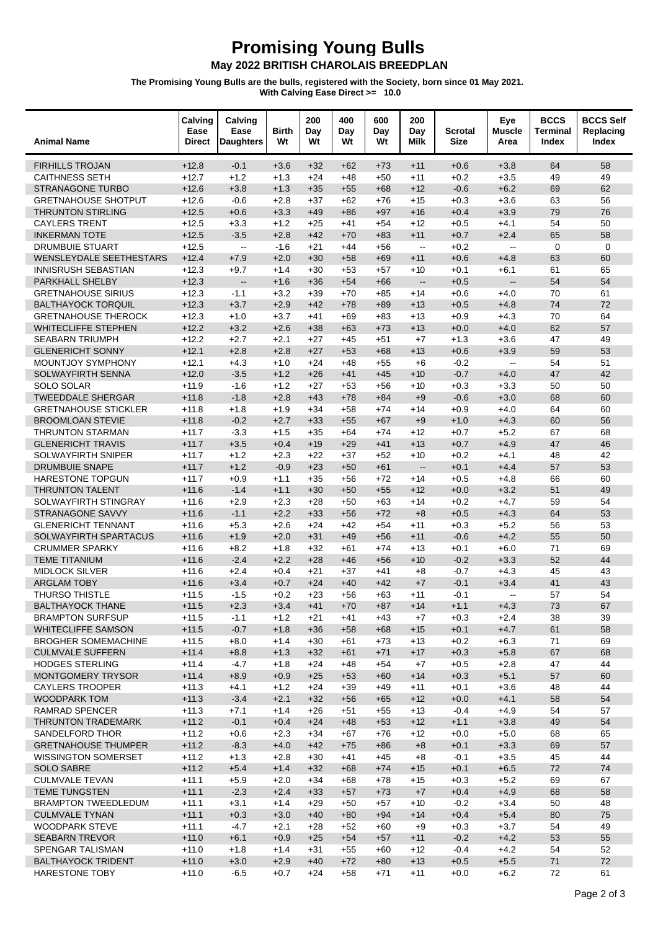## **Promising Young Bulls<br>May 2022 BRITISH CHAROLAIS BREEDPLAN**

The Promising Young Bulls are the bulls, registered with the Society, born since 01 May 2021.<br>With Calving Ease Direct >= 10.0

| <b>Animal Name</b>                                 | Calving<br>Ease<br><b>Direct</b> | Calving<br>Ease<br><b>Daughters</b> | <b>Birth</b><br>Wt | 200<br>Day<br>Wt | 400<br>Day<br>Wt | 600<br>Day<br>Wt | 200<br>Day<br>Milk                            | Scrotal<br><b>Size</b> | Eye<br><b>Muscle</b><br>Area | <b>BCCS</b><br>Terminal<br><b>Index</b> | <b>BCCS Self</b><br>Replacing<br>Index |
|----------------------------------------------------|----------------------------------|-------------------------------------|--------------------|------------------|------------------|------------------|-----------------------------------------------|------------------------|------------------------------|-----------------------------------------|----------------------------------------|
| <b>FIRHILLS TROJAN</b>                             | $+12.8$                          | $-0.1$                              | $+3.6$             | $+32$            | $+62$            | $+73$            | $+11$                                         | $+0.6$                 | $+3.8$                       | 64                                      | 58                                     |
| <b>CAITHNESS SETH</b>                              | $+12.7$                          | $+1.2$                              | $+1.3$             | $+24$            | $+48$            | $+50$            | $+11$                                         | $+0.2$                 | $+3.5$                       | 49                                      | 49                                     |
| <b>STRANAGONE TURBO</b>                            | $+12.6$                          | $+3.8$                              | $+1.3$             | $+35$            | $+55$            | $+68$            | $+12$                                         | $-0.6$                 | $+6.2$                       | 69                                      | 62                                     |
| <b>GRETNAHOUSE SHOTPUT</b>                         | $+12.6$                          | $-0.6$                              | $+2.8$             | $+37$            | $+62$            | $+76$            | $+15$                                         | $+0.3$                 | $+3.6$                       | 63                                      | 56                                     |
| <b>THRUNTON STIRLING</b>                           | $+12.5$                          | $+0.6$                              | $+3.3$             | $+49$            | $+86$            | $+97$            | $+16$                                         | $+0.4$                 | $+3.9$                       | 79                                      | 76                                     |
| <b>CAYLERS TRENT</b>                               | $+12.5$                          | $+3.3$                              | $+1.2$             | $+25$            | $+41$            | $+54$            | $+12$                                         | $+0.5$                 | $+4.1$                       | 54                                      | 50                                     |
| <b>INKERMAN TOTE</b>                               | $+12.5$                          | $-3.5$                              | $+2.8$             | $+42$            | $+70$            | $+83$            | $+11$                                         | $+0.7$                 | $+2.4$                       | 65                                      | 58                                     |
| <b>DRUMBUIE STUART</b>                             | $+12.5$                          | $\overline{a}$                      | $-1.6$             | $+21$            | $+44$            | $+56$            | $\mathbb{L}^{\mathbb{L}}$                     | $+0.2$                 | $\mathbb{L}^2$               | 0                                       | 0                                      |
| <b>WENSLEYDALE SEETHESTARS</b>                     | $+12.4$                          | $+7.9$                              | $+2.0$             | $+30$            | $+58$            | $+69$            | $+11$                                         | $+0.6$                 | $+4.8$                       | 63                                      | 60                                     |
| <b>INNISRUSH SEBASTIAN</b>                         | $+12.3$                          | $+9.7$                              | $+1.4$             | $+30$            | $+53$            | $+57$            | $+10$                                         | $+0.1$                 | $+6.1$                       | 61                                      | 65                                     |
| PARKHALL SHELBY                                    | $+12.3$                          | $\overline{\phantom{a}}$            | $+1.6$             | $+36$            | $+54$            | $+66$            | $\mathord{\hspace{1pt}\text{--}\hspace{1pt}}$ | $+0.5$                 | $\mathbf{L}$                 | 54                                      | 54                                     |
| <b>GRETNAHOUSE SIRIUS</b>                          | $+12.3$                          | $-1.1$                              | $+3.2$             | $+39$            | $+70$            | $+85$            | $+14$                                         | $+0.6$                 | $+4.0$                       | 70                                      | 61                                     |
| <b>BALTHAYOCK TORQUIL</b>                          | $+12.3$                          | $+3.7$                              | $+2.9$             | $+42$            | $+78$            | $+89$            | $+13$                                         | $+0.5$                 | $+4.8$                       | 74                                      | 72                                     |
| <b>GRETNAHOUSE THEROCK</b>                         | $+12.3$                          | $+1.0$                              | $+3.7$             | $+41$            | $+69$            | $+83$            | $+13$                                         | $+0.9$                 | $+4.3$                       | 70                                      | 64                                     |
| <b>WHITECLIFFE STEPHEN</b>                         | $+12.2$                          | $+3.2$                              | $+2.6$             | $+38$            | $+63$            | $+73$            | $+13$                                         | $+0.0$                 | $+4.0$                       | 62                                      | 57                                     |
| <b>SEABARN TRIUMPH</b>                             | $+12.2$                          | $+2.7$                              | $+2.1$             | $+27$            | $+45$            | $+51$            | $+7$                                          | $+1.3$                 | $+3.6$                       | 47                                      | 49                                     |
| <b>GLENERICHT SONNY</b>                            | $+12.1$                          | $+2.8$                              | $+2.8$             | $+27$            | $+53$            | $+68$            | $+13$                                         | $+0.6$                 | $+3.9$                       | 59                                      | 53                                     |
| MOUNTJOY SYMPHONY                                  | $+12.1$                          | $+4.3$                              | $+1.0$             | $+24$            | $+48$            | $+55$            | $+6$                                          | $-0.2$                 | $\sim$                       | 54                                      | 51                                     |
| SOLWAYFIRTH SENNA<br><b>SOLO SOLAR</b>             | $+12.0$<br>$+11.9$               | $-3.5$<br>$-1.6$                    | $+1.2$<br>$+1.2$   | $+26$<br>$+27$   | $+41$<br>$+53$   | $+45$<br>$+56$   | $+10$<br>$+10$                                | $-0.7$                 | $+4.0$<br>$+3.3$             | 47<br>50                                | 42<br>50                               |
| <b>TWEEDDALE SHERGAR</b>                           | $+11.8$                          | $-1.8$                              | $+2.8$             | $+43$            | $+78$            | $+84$            | $+9$                                          | $+0.3$<br>$-0.6$       | $+3.0$                       | 68                                      | 60                                     |
| <b>GRETNAHOUSE STICKLER</b>                        | $+11.8$                          | $+1.8$                              | $+1.9$             | $+34$            | $+58$            | $+74$            | $+14$                                         | $+0.9$                 | $+4.0$                       | 64                                      | 60                                     |
| <b>BROOMLOAN STEVIE</b>                            | $+11.8$                          | $-0.2$                              | $+2.7$             | $+33$            | $+55$            | $+67$            | $+9$                                          | $+1.0$                 | $+4.3$                       | 60                                      | 56                                     |
| <b>THRUNTON STARMAN</b>                            | $+11.7$                          | $-3.3$                              | $+1.5$             | $+35$            | $+64$            | $+74$            | $+12$                                         | $+0.7$                 | $+5.2$                       | 67                                      | 68                                     |
| <b>GLENERICHT TRAVIS</b>                           | $+11.7$                          | $+3.5$                              | $+0.4$             | $+19$            | $+29$            | $+41$            | $+13$                                         | $+0.7$                 | $+4.9$                       | 47                                      | 46                                     |
| SOLWAYFIRTH SNIPER                                 | $+11.7$                          | $+1.2$                              | $+2.3$             | $+22$            | $+37$            | $+52$            | $+10$                                         | $+0.2$                 | $+4.1$                       | 48                                      | 42                                     |
| <b>DRUMBUIE SNAPE</b>                              | $+11.7$                          | $+1.2$                              | $-0.9$             | $+23$            | $+50$            | $+61$            | $\mathord{\hspace{1pt}\text{--}\hspace{1pt}}$ | $+0.1$                 | $+4.4$                       | 57                                      | 53                                     |
| <b>HARESTONE TOPGUN</b>                            | $+11.7$                          | $+0.9$                              | $+1.1$             | $+35$            | $+56$            | $+72$            | $+14$                                         | $+0.5$                 | $+4.8$                       | 66                                      | 60                                     |
| <b>THRUNTON TALENT</b>                             | $+11.6$                          | $-1.4$                              | $+1.1$             | $+30$            | $+50$            | $+55$            | $+12$                                         | $+0.0$                 | $+3.2$                       | 51                                      | 49                                     |
| SOLWAYFIRTH STINGRAY                               | $+11.6$                          | $+2.9$                              | $+2.3$             | $+28$            | $+50$            | $+63$            | $+14$                                         | $+0.2$                 | $+4.7$                       | 59                                      | 54                                     |
| STRANAGONE SAVVY                                   | $+11.6$                          | $-1.1$                              | $+2.2$             | $+33$            | $+56$            | $+72$            | $+8$                                          | $+0.5$                 | $+4.3$                       | 64                                      | 53                                     |
| <b>GLENERICHT TENNANT</b>                          | $+11.6$                          | $+5.3$                              | $+2.6$             | $+24$            | $+42$            | $+54$            | $+11$                                         | $+0.3$                 | $+5.2$                       | 56                                      | 53                                     |
| SOLWAYFIRTH SPARTACUS                              | $+11.6$                          | $+1.9$                              | $+2.0$             | $+31$            | $+49$            | $+56$            | $+11$                                         | $-0.6$                 | $+4.2$                       | 55                                      | 50                                     |
| <b>CRUMMER SPARKY</b>                              | $+11.6$                          | $+8.2$                              | $+1.8$             | $+32$            | $+61$            | $+74$            | $+13$                                         | $+0.1$                 | $+6.0$                       | 71                                      | 69                                     |
| <b>TEME TITANIUM</b>                               | $+11.6$                          | $-2.4$                              | $+2.2$             | $+28$            | $+46$            | $+56$            | $+10$                                         | $-0.2$                 | $+3.3$                       | 52                                      | 44                                     |
| <b>MIDLOCK SILVER</b>                              | $+11.6$                          | $+2.4$                              | $+0.4$             | $+21$            | $+37$            | $+41$            | $+8$                                          | $-0.7$                 | $+4.3$                       | 45                                      | 43                                     |
| <b>ARGLAM TOBY</b>                                 | $+11.6$                          | $+3.4$                              | $+0.7$             | $+24$            | $+40$            | $+42$            | $+7$                                          | $-0.1$                 | $+3.4$                       | 41                                      | 43                                     |
| <b>THURSO THISTLE</b>                              | $+11.5$                          | $-1.5$                              | $+0.2$             | $+23$            | $+56$            | $+63$            | $+11$                                         | $-0.1$                 | $\sim$                       | 57                                      | 54                                     |
| <b>BALTHAYOCK THANE</b>                            | $+11.5$                          | $+2.3$                              | $+3.4$             | $+41$            | $+70$            | $+87$            | $+14$                                         | $+1.1$                 | $+4.3$                       | 73                                      | 67                                     |
| <b>BRAMPTON SURFSUP</b>                            | $+11.5$                          | $-1.1$                              | $+1.2$             | $+21$            | $+41$            | $+43$            | $+7$                                          | $+0.3$                 | $+2.4$                       | 38                                      | 39                                     |
| <b>WHITECLIFFE SAMSON</b>                          | $+11.5$                          | $-0.7$                              | $+1.8$             | $+36$            | $+58$            | $+68$            | $+15$                                         | $+0.1$                 | $+4.7$                       | 61                                      | 58                                     |
| <b>BROGHER SOMEMACHINE</b>                         | $+11.5$                          | $+8.0$                              | $+1.4$             | $+30$            | +61              | $+73$            | +13                                           | $+0.2$                 | $+6.3$                       | 71                                      | 69                                     |
| <b>CULMVALE SUFFERN</b>                            | $+11.4$                          | $+8.8$                              | $+1.3$             | $+32$            | $+61$            | $+71$            | $+17$                                         | $+0.3$                 | $+5.8$                       | 67                                      | 68                                     |
| <b>HODGES STERLING</b>                             | $+11.4$                          | $-4.7$                              | $+1.8$             | $+24$            | $+48$            | $+54$            | $+7$                                          | $+0.5$                 | $+2.8$                       | 47                                      | 44                                     |
| <b>MONTGOMERY TRYSOR</b><br><b>CAYLERS TROOPER</b> | $+11.4$                          | $+8.9$                              | $+0.9$             | $+25$            | $+53$            | $+60$            | $+14$                                         | $+0.3$                 | $+5.1$                       | 57                                      | 60                                     |
| <b>WOODPARK TOM</b>                                | $+11.3$<br>$+11.3$               | $+4.1$<br>$-3.4$                    | $+1.2$<br>$+2.1$   | $+24$<br>$+32$   | $+39$<br>$+56$   | $+49$<br>$+65$   | +11<br>$+12$                                  | $+0.1$<br>$+0.0$       | $+3.6$<br>$+4.1$             | 48<br>58                                | 44<br>54                               |
| <b>RAMRAD SPENCER</b>                              | $+11.3$                          | $+7.1$                              | $+1.4$             | $+26$            | $+51$            | $+55$            | $+13$                                         | $-0.4$                 | $+4.9$                       | 54                                      | 57                                     |
| <b>THRUNTON TRADEMARK</b>                          | $+11.2$                          | $-0.1$                              | $+0.4$             | $+24$            | $+48$            | $+53$            | $+12$                                         | $+1.1$                 | $+3.8$                       | 49                                      | 54                                     |
| SANDELFORD THOR                                    | $+11.2$                          | $+0.6$                              | $+2.3$             | $+34$            | +67              | $+76$            | +12                                           | $+0.0$                 | $+5.0$                       | 68                                      | 65                                     |
| <b>GRETNAHOUSE THUMPER</b>                         | $+11.2$                          | $-8.3$                              | $+4.0$             | $+42$            | $+75$            | $+86$            | $+8$                                          | $+0.1$                 | $+3.3$                       | 69                                      | 57                                     |
| <b>WISSINGTON SOMERSET</b>                         | $+11.2$                          | $+1.3$                              | $+2.8$             | $+30$            | $+41$            | $+45$            | $+8$                                          | $-0.1$                 | $+3.5$                       | 45                                      | 44                                     |
| <b>SOLO SABRE</b>                                  | $+11.2$                          | $+5.4$                              | $+1.4$             | $+32$            | $+68$            | $+74$            | $+15$                                         | $+0.1$                 | $+6.5$                       | 72                                      | 74                                     |
| <b>CULMVALE TEVAN</b>                              | $+11.1$                          | $+5.9$                              | $+2.0$             | $+34$            | +68              | $+78$            | $+15$                                         | $+0.3$                 | $+5.2$                       | 69                                      | 67                                     |
| <b>TEME TUNGSTEN</b>                               | $+11.1$                          | $-2.3$                              | $+2.4$             | $+33$            | $+57$            | $+73$            | $+7$                                          | $+0.4$                 | $+4.9$                       | 68                                      | 58                                     |
| <b>BRAMPTON TWEEDLEDUM</b>                         | $+11.1$                          | $+3.1$                              | $+1.4$             | $+29$            | $+50$            | $+57$            | $+10$                                         | $-0.2$                 | $+3.4$                       | 50                                      | 48                                     |
| <b>CULMVALE TYNAN</b>                              | $+11.1$                          | $+0.3$                              | $+3.0$             | $+40$            | $+80$            | $+94$            | $+14$                                         | $+0.4$                 | $+5.4$                       | 80                                      | 75                                     |
| <b>WOODPARK STEVE</b>                              | $+11.1$                          | $-4.7$                              | $+2.1$             | $+28$            | $+52$            | $+60$            | $+9$                                          | $+0.3$                 | $+3.7$                       | 54                                      | 49                                     |
| <b>SEABARN TREVOR</b>                              | $+11.0$                          | $+6.1$                              | $+0.9$             | $+25$            | $+54$            | $+57$            | $+11$                                         | $-0.2$                 | $+4.2$                       | 53                                      | 55                                     |
| SPENGAR TALISMAN                                   | $+11.0$                          | $+1.8$                              | $+1.4$             | $+31$            | $+55$            | $+60$            | +12                                           | $-0.4$                 | $+4.2$                       | 54                                      | 52                                     |
| <b>BALTHAYOCK TRIDENT</b>                          | $+11.0$                          | $+3.0$                              | $+2.9$             | $+40$            | $+72$            | $+80$            | $+13$                                         | $+0.5$                 | $+5.5$                       | 71                                      | 72                                     |
| <b>HARESTONE TOBY</b>                              | $+11.0$                          | $-6.5$                              | $+0.7$             | $+24$            | $+58$            | $+71$            | $+11$                                         | $+0.0$                 | $+6.2$                       | 72                                      | 61                                     |